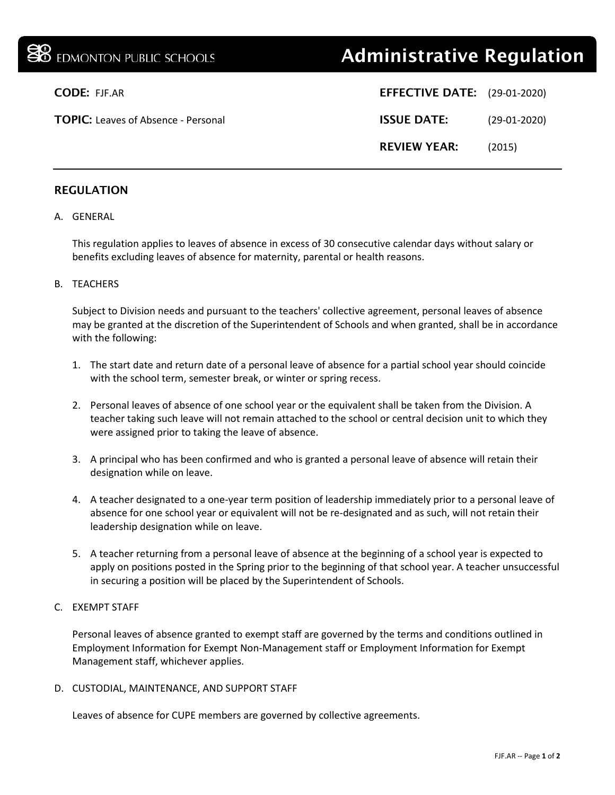# **38** EDMONTON PUBLIC SCHOOLS **Administrative Regulation**

| <b>CODE: FJF.AR</b>                        | <b>EFFECTIVE DATE:</b> (29-01-2020) |                |
|--------------------------------------------|-------------------------------------|----------------|
| <b>TOPIC:</b> Leaves of Absence - Personal | <b>ISSUE DATE:</b>                  | $(29-01-2020)$ |
|                                            | <b>REVIEW YEAR:</b>                 | (2015)         |

## REGULATION

#### A. GENERAL

This regulation applies to leaves of absence in excess of 30 consecutive calendar days without salary or benefits excluding leaves of absence for maternity, parental or health reasons.

#### B. TEACHERS

Subject to Division needs and pursuant to the teachers' collective agreement, personal leaves of absence may be granted at the discretion of the Superintendent of Schools and when granted, shall be in accordance with the following:

- 1. The start date and return date of a personal leave of absence for a partial school year should coincide with the school term, semester break, or winter or spring recess.
- 2. Personal leaves of absence of one school year or the equivalent shall be taken from the Division. A teacher taking such leave will not remain attached to the school or central decision unit to which they were assigned prior to taking the leave of absence.
- 3. A principal who has been confirmed and who is granted a personal leave of absence will retain their designation while on leave.
- 4. A teacher designated to a one-year term position of leadership immediately prior to a personal leave of absence for one school year or equivalent will not be re-designated and as such, will not retain their leadership designation while on leave.
- 5. A teacher returning from a personal leave of absence at the beginning of a school year is expected to apply on positions posted in the Spring prior to the beginning of that school year. A teacher unsuccessful in securing a position will be placed by the Superintendent of Schools.

## C. EXEMPT STAFF

Personal leaves of absence granted to exempt staff are governed by the terms and conditions outlined in Employment Information for Exempt Non-Management staff or Employment Information for Exempt Management staff, whichever applies.

D. CUSTODIAL, MAINTENANCE, AND SUPPORT STAFF

Leaves of absence for CUPE members are governed by collective agreements.